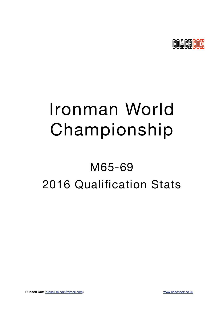

# Ironman World Championship

## M65-69 2016 Qualification Stats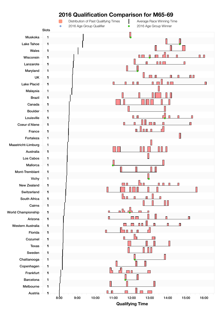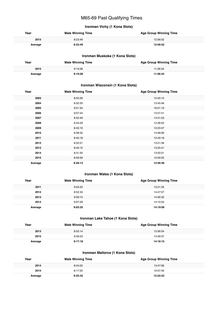## M65-69 Past Qualifying Times

## **Ironman Vichy (1 Kona Slots)**

| Year    | <b>Male Winning Time</b> | <b>Age Group Winning Time</b> |
|---------|--------------------------|-------------------------------|
| 2015    | 8:23:49                  | 12:56:52                      |
| Average | 8:23:49                  | 12:56:52                      |

## **Ironman Muskoka (1 Kona Slots)**

| Year    | <b>Male Winning Time</b> | <b>Age Group Winning Time</b> |
|---------|--------------------------|-------------------------------|
| 2015    | 9:19:28                  | 11:56:34                      |
| Average | 9:19:28                  | 11:56:34                      |

## **Ironman Wisconsin (1 Kona Slots)**

| Year    | <b>Male Winning Time</b> | <b>Age Group Winning Time</b> |
|---------|--------------------------|-------------------------------|
| 2003    | 8:55:26                  | 15:45:15                      |
| 2004    | 8:52:33                  | 13:45:46                      |
| 2005    | 9:01:34                  | 16:01:19                      |
| 2006    | 9:07:24                  | 13:57:41                      |
| 2007    | 8:52:49                  | 14:31:53                      |
| 2008    | 8:43:29                  | 12:36:52                      |
| 2009    | 8:45:19                  | 12:23:47                      |
| 2010    | 8:38:32                  | 13:48:06                      |
| 2011    | 8:45:18                  | 12:40:18                      |
| 2012    | 8:32:51                  | 13:21:39                      |
| 2013    | 8:40:15                  | 13:25:41                      |
| 2014    | 8:31:20                  | 13:50:21                      |
| 2015    | 8:59:59                  | 12:59:32                      |
| Average | 8:48:13                  | 13:46:46                      |

## **Ironman Wales (1 Kona Slots)**

| Year    | <b>Male Winning Time</b> | <b>Age Group Winning Time</b> |
|---------|--------------------------|-------------------------------|
| 2011    | 9:04:20                  | 13:21:35                      |
| 2012    | 8:52:43                  | 14:47:57                      |
| 2013    | 9:09:10                  | 14:56:32                      |
| 2014    | 9:07:28                  | 14:10:34                      |
| Average | 9:03:25                  | 14:19:09                      |

## **Ironman Lake Tahoe (1 Kona Slots)**

| Year    | <b>Male Winning Time</b> | <b>Age Group Winning Time</b> |
|---------|--------------------------|-------------------------------|
| 2013    | 8:55:14                  | 13:56:54                      |
| 2015    | 9:39:23                  | 14:39:37                      |
| Average | 9:17:18                  | 14:18:15                      |

## **Ironman Mallorca (1 Kona Slots)**

| Year    | <b>Male Winning Time</b> | <b>Age Group Winning Time</b> |
|---------|--------------------------|-------------------------------|
| 2014    | 8:34:02                  | 13:47:06                      |
| 2015    | 8:17:22                  | 10:57:40                      |
| Average | 8:25:42                  | 12:22:23                      |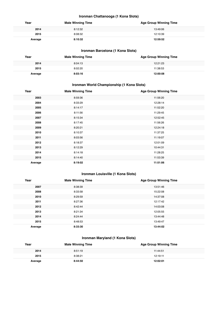## **Ironman Chattanooga (1 Kona Slots)**

| Year    | <b>Male Winning Time</b> | <b>Age Group Winning Time</b> |
|---------|--------------------------|-------------------------------|
| 2014    | 8:12:32                  | 13:49:06                      |
| 2015    | 8:08:32                  | 12:10:39                      |
| Average | 8:10:32                  | 12:59:52                      |

## **Ironman Barcelona (1 Kona Slots)**

| Year    | <b>Male Winning Time</b> | <b>Age Group Winning Time</b> |
|---------|--------------------------|-------------------------------|
| 2014    | 8:04:13                  | 12:21:23                      |
| 2015    | 8:02:20                  | 11:38:53                      |
| Average | 8:03:16                  | 12:00:08                      |

## **Ironman World Championship (1 Kona Slots)**

| Year    | <b>Male Winning Time</b> | <b>Age Group Winning Time</b> |
|---------|--------------------------|-------------------------------|
| 2003    | 8:59:36                  | 11:56:20                      |
| 2004    | 8:33:29                  | 12:28:14                      |
| 2005    | 8:14:17                  | 11:52:20                      |
| 2006    | 8:11:56                  | 11:29:45                      |
| 2007    | 8:15:34                  | 12:52:45                      |
| 2008    | 8:17:45                  | 11:56:26                      |
| 2009    | 8:20:21                  | 12:24:18                      |
| 2010    | 8:10:37                  | 11:37:25                      |
| 2011    | 8:03:56                  | 11:19:07                      |
| 2012    | 8:18:37                  | 12:01:09                      |
| 2013    | 8:12:29                  | 10:44:31                      |
| 2014    | 8:14:18                  | 11:28:25                      |
| 2015    | 8:14:40                  | 11:53:39                      |
| Average | 8:19:02                  | 11:51:06                      |

## **Ironman Louisville (1 Kona Slots)**

| Year    | <b>Male Winning Time</b> | <b>Age Group Winning Time</b> |
|---------|--------------------------|-------------------------------|
| 2007    | 8:38:39                  | 13:51:46                      |
| 2008    | 8:33:58                  | 15:22:08                      |
| 2010    | 8:29:59                  | 14:37:08                      |
| 2011    | 8:27:36                  | 12:17:42                      |
| 2012    | 8:42:44                  | 14:03:08                      |
| 2013    | 8:21:34                  | 12:05:55                      |
| 2014    | 8:24:44                  | 13:44:48                      |
| 2015    | 8:48:53                  | 13:49:47                      |
| Average | 8:33:30                  | 13:44:02                      |

## **Ironman Maryland (1 Kona Slots)**

| Year    | <b>Male Winning Time</b> | <b>Age Group Winning Time</b> |
|---------|--------------------------|-------------------------------|
| 2014    | 8:51:19                  | 11:44:51                      |
| 2015    | 8:38:21                  | 12:19:11                      |
| Average | 8:44:50                  | 12:02:01                      |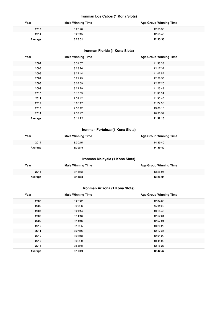## **Ironman Los Cabos (1 Kona Slots)**

| Year    | <b>Male Winning Time</b> | <b>Age Group Winning Time</b> |
|---------|--------------------------|-------------------------------|
| 2013    | 8:26:48                  | 12:55:36                      |
| 2014    | 8:26:15                  | 12:55:40                      |
| Average | 8:26:31                  | 12:55:38                      |

## **Ironman Florida (1 Kona Slots)**

| Year    | <b>Male Winning Time</b> | <b>Age Group Winning Time</b> |
|---------|--------------------------|-------------------------------|
| 2004    | 8:31:07                  | 11:58:33                      |
| 2005    | 8:28:26                  | 12:17:37                      |
| 2006    | 8:22:44                  | 11:42:57                      |
| 2007    | 8:21:29                  | 12:58:53                      |
| 2008    | 8:07:59                  | 12:57:20                      |
| 2009    | 8:24:29                  | 11:25:43                      |
| 2010    | 8:15:59                  | 11:36:34                      |
| 2011    | 7:59:42                  | 11:30:46                      |
| 2012    | 8:06:17                  | 11:24:55                      |
| 2013    | 7:53:12                  | 13:00:15                      |
| 2014    | 7:33:47                  | 10:35:52                      |
| Average | 8:11:22                  | 11:57:13                      |

## **Ironman Fortaleza (1 Kona Slots)**

| Year    | <b>Male Winning Time</b> | <b>Age Group Winning Time</b> |
|---------|--------------------------|-------------------------------|
| 2014    | 8:30:15                  | 14:39:40                      |
| Average | 8:30:15                  | 14:39:40                      |

## **Ironman Malaysia (1 Kona Slots)**

| Year    | <b>Male Winning Time</b> | <b>Age Group Winning Time</b> |
|---------|--------------------------|-------------------------------|
| 2014    | 8:41:53                  | 13:28:04                      |
| Average | 8:41:53                  | 13:28:04                      |

## **Ironman Arizona (1 Kona Slots)**

| Year    | <b>Male Winning Time</b> | <b>Age Group Winning Time</b> |
|---------|--------------------------|-------------------------------|
| 2005    | 8:25:42                  | 12:04:03                      |
| 2006    | 8:20:56                  | 15:11:06                      |
| 2007    | 8:21:14                  | 13:18:49                      |
| 2008    | 8:14:16                  | 12:57:01                      |
| 2009    | 8:14:16                  | 12:57:01                      |
| 2010    | 8:13:35                  | 13:20:29                      |
| 2011    | 8:07:16                  | 12:17:34                      |
| 2012    | 8:03:13                  | 12:01:20                      |
| 2013    | 8:02:00                  | 10:44:09                      |
| 2014    | 7:55:48                  | 12:16:23                      |
| Average | 8:11:49                  | 12:42:47                      |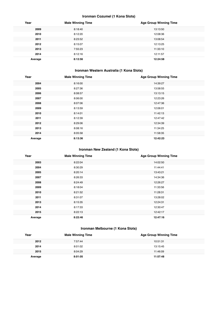## **Ironman Cozumel (1 Kona Slots)**

| Year    | <b>Male Winning Time</b> | <b>Age Group Winning Time</b> |
|---------|--------------------------|-------------------------------|
| 2009    | 8:18:40                  | 13:13:50                      |
| 2010    | 8:12:20                  | 12:08:36                      |
| 2011    | 8:23:52                  | 13:08:54                      |
| 2012    | 8:15:07                  | 12:13:25                      |
| 2013    | 7:55:23                  | 11:33:10                      |
| 2014    | 8:12:16                  | 12:11:57                      |
| Average | 8:12:56                  | 12:24:58                      |

## **Ironman Western Australia (1 Kona Slots)**

| Year    | <b>Male Winning Time</b> | <b>Age Group Winning Time</b> |
|---------|--------------------------|-------------------------------|
| 2004    | 8:16:00                  | 14:39:27                      |
| 2005    | 8:27:36                  | 13:58:55                      |
| 2006    | 8:08:57                  | 13:13:15                      |
| 2007    | 8:06:00                  | 12:23:26                      |
| 2008    | 8:07:06                  | 12:47:36                      |
| 2009    | 8:13:59                  | 12:06:01                      |
| 2010    | 8:14:01                  | 11:42:13                      |
| 2011    | 8:12:39                  | 12:47:42                      |
| 2012    | 8:29:06                  | 12:34:39                      |
| 2013    | 8:08:16                  | 11:34:25                      |
| 2014    | 8:05:58                  | 11:58:35                      |
| Average | 8:13:36                  | 12:42:23                      |

## **Ironman New Zealand (1 Kona Slots)**

| Year    | <b>Male Winning Time</b> | <b>Age Group Winning Time</b> |
|---------|--------------------------|-------------------------------|
| 2003    | 8:22:04                  | 14:02:50                      |
| 2004    | 8:30:29                  | 11:44:41                      |
| 2005    | 8:20:14                  | 13:43:21                      |
| 2007    | 8:26:33                  | 14:34:36                      |
| 2008    | 8:24:49                  | 12:26:27                      |
| 2009    | 8:18:04                  | 11:33:56                      |
| 2010    | 8:21:52                  | 11:28:31                      |
| 2011    | 8:31:07                  | 13:28:02                      |
| 2013    | 8:15:35                  | 12:24:31                      |
| 2014    | 8:17:33                  | 12:30:47                      |
| 2015    | 8:22:13                  | 12:42:17                      |
| Average | 8:22:46                  | 12:47:16                      |

## **Ironman Melbourne (1 Kona Slots)**

| Year    | <b>Male Winning Time</b> | <b>Age Group Winning Time</b> |
|---------|--------------------------|-------------------------------|
| 2012    | 7:57:44                  | 10:51:31                      |
| 2014    | 8:01:02                  | 13:15:45                      |
| 2015    | 8:04:29                  | 11:46:09                      |
| Average | 8:01:05                  | 11:57:48                      |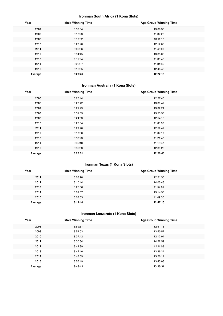## **Ironman South Africa (1 Kona Slots)**

| Year    | <b>Male Winning Time</b> | <b>Age Group Winning Time</b> |
|---------|--------------------------|-------------------------------|
| 2007    | 8:33:04                  | 13:08:30                      |
| 2008    | 8:18:23                  | 11:32:22                      |
| 2009    | 8:17:32                  | 13:11:18                      |
| 2010    | 8:23:28                  | 12:12:03                      |
| 2011    | 8:05:36                  | 11:45:00                      |
| 2012    | 8:34:45                  | 13:35:03                      |
| 2013    | 8:11:24                  | 11:35:46                      |
| 2014    | 8:26:07                  | 11:31:35                      |
| 2015    | 8:16:35                  | 12:48:43                      |
| Average | 8:20:46                  | 12:22:15                      |

## **Ironman Australia (1 Kona Slots)**

| Year    | <b>Male Winning Time</b> | <b>Age Group Winning Time</b> |
|---------|--------------------------|-------------------------------|
| 2005    | 8:25:44                  | 12:27:46                      |
| 2006    | 8:20:42                  | 13:39:47                      |
| 2007    | 8:21:49                  | 13:32:21                      |
| 2008    | 8:31:33                  | 13:53:53                      |
| 2009    | 8:24:53                  | 12:54:10                      |
| 2010    | 8:23:54                  | 11:06:33                      |
| 2011    | 8:29:28                  | 12:59:42                      |
| 2012    | 8:17:38                  | 11:02:19                      |
| 2013    | 8:30:23                  | 11:21:48                      |
| 2014    | 8:35:18                  | 11:15:47                      |
| 2015    | 8:35:53                  | 12:39:20                      |
| Average | 8:27:01                  | 12:26:40                      |

## **Ironman Texas (1 Kona Slots)**

| Year    | <b>Male Winning Time</b> | <b>Age Group Winning Time</b> |
|---------|--------------------------|-------------------------------|
| 2011    | 8:08:20                  | 12:51:35                      |
| 2012    | 8:10:44                  | 14:05:48                      |
| 2013    | 8:25:06                  | 11:54:01                      |
| 2014    | 8:09:37                  | 13:14:58                      |
| 2015    | 8:07:03                  | 11:49:30                      |
| Average | 8:12:10                  | 12:47:10                      |

## **Ironman Lanzarote (1 Kona Slots)**

| Year    | <b>Male Winning Time</b> | <b>Age Group Winning Time</b> |
|---------|--------------------------|-------------------------------|
| 2008    | 8:59:37                  | 12:51:18                      |
| 2009    | 8:54:03                  | 13:50:57                      |
| 2010    | 8:37:42                  | 12:12:04                      |
| 2011    | 8:30:34                  | 14:52:59                      |
| 2012    | 8:44:39                  | 12:11:08                      |
| 2013    | 8:42:40                  | 13:36:24                      |
| 2014    | 8:47:39                  | 13:26:14                      |
| 2015    | 8:56:49                  | 13:43:08                      |
| Average | 8:46:42                  | 13:20:31                      |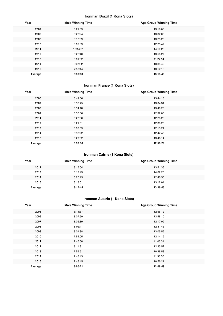## **Ironman Brazil (1 Kona Slots)**

| Year    | <b>Male Winning Time</b> | <b>Age Group Winning Time</b> |
|---------|--------------------------|-------------------------------|
| 2007    | 8:21:09                  | 13:18:08                      |
| 2008    | 8:28:24                  | 13:32:08                      |
| 2009    | 8:13:39                  | 13:25:28                      |
| 2010    | 8:07:39                  | 12:25:47                      |
| 2011    | 12:14:21                 | 14:10:28                      |
| 2012    | 8:22:40                  | 13:56:27                      |
| 2013    | 8:01:32                  | 11:27:54                      |
| 2014    | 8:07:52                  | 13:35:42                      |
| 2015    | 7:53:44                  | 13:12:16                      |
| Average | 8:39:00                  | 13:13:48                      |

## **Ironman France (1 Kona Slots)**

| Year    | <b>Male Winning Time</b> | <b>Age Group Winning Time</b> |
|---------|--------------------------|-------------------------------|
| 2005    | 8:49:06                  | 13:44:13                      |
| 2007    | 8:38:45                  | 13:04:31                      |
| 2008    | 8:34:18                  | 13:40:28                      |
| 2009    | 8:30:06                  | 12:32:05                      |
| 2011    | 8:28:30                  | 12:28:26                      |
| 2012    | 8:21:51                  | 12:38:20                      |
| 2013    | 8:08:59                  | 12:13:24                      |
| 2014    | 8:33:22                  | 12:47:45                      |
| 2015    | 8:27:32                  | 13:46:14                      |
| Average | 8:30:16                  | 12:59:29                      |

## **Ironman Cairns (1 Kona Slots)**

| Year    | <b>Male Winning Time</b> | <b>Age Group Winning Time</b> |
|---------|--------------------------|-------------------------------|
| 2012    | 8:15:04                  | 13:51:36                      |
| 2013    | 8:17:43                  | 14:02:25                      |
| 2014    | 8:20:15                  | 12:40:56                      |
| 2015    | 8:18:01                  | 13:12:04                      |
| Average | 8:17:45                  | 13:26:45                      |

## **Ironman Austria (1 Kona Slots)**

| Year    | <b>Male Winning Time</b> | <b>Age Group Winning Time</b> |
|---------|--------------------------|-------------------------------|
| 2005    | 8:14:37                  | 12:55:12                      |
| 2006    | 8:07:59                  | 12:58:10                      |
| 2007    | 8:06:39                  | 12:17:09                      |
| 2008    | 8:06:11                  | 12:31:46                      |
| 2009    | 8:01:38                  | 13:05:55                      |
| 2010    | 7:52:05                  | 12:14:19                      |
| 2011    | 7:45:58                  | 11:46:31                      |
| 2012    | 8:11:31                  | 12:33:52                      |
| 2013    | 7:59:51                  | 10:38:58                      |
| 2014    | 7:48:43                  | 11:38:56                      |
| 2015    | 7:48:45                  | 10:56:21                      |
| Average | 8:00:21                  | 12:08:49                      |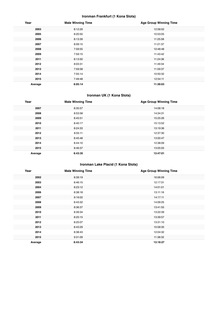## **Ironman Frankfurt (1 Kona Slots)**

| Year    | <b>Male Winning Time</b> | <b>Age Group Winning Time</b> |
|---------|--------------------------|-------------------------------|
| 2003    | 8:12:29                  | 12:58:02                      |
| 2005    | 8:20:50                  | 10:53:05                      |
| 2006    | 8:13:39                  | 11:25:58                      |
| 2007    | 8:09:15                  | 11:21:37                      |
| 2008    | 7:59:55                  | 10:48:48                      |
| 2009    | 7:59:15                  | 11:43:42                      |
| 2011    | 8:13:50                  | 11:24:36                      |
| 2012    | 8:03:31                  | 11:49:34                      |
| 2013    | 7:59:58                  | 11:59:37                      |
| 2014    | 7:55:14                  | 10:50:32                      |
| 2015    | 7:49:48                  | 12:54:11                      |
| Average | 8:05:14                  | 11:39:03                      |

## **Ironman UK (1 Kona Slots)**

| Year    | <b>Male Winning Time</b> | <b>Age Group Winning Time</b> |
|---------|--------------------------|-------------------------------|
| 2007    | 8:35:57                  | 14:08:18                      |
| 2008    | 8:53:58                  | 14:34:31                      |
| 2009    | 8:45:51                  | 15:25:26                      |
| 2010    | 8:40:17                  | 15:13:52                      |
| 2011    | 8:24:33                  | 13:19:36                      |
| 2012    | 8:55:11                  | 12:37:30                      |
| 2013    | 8:45:48                  | 13:00:47                      |
| 2014    | 8:44:10                  | 12:38:09                      |
| 2015    | 8:46:37                  | 13:05:05                      |
| Average | 8:43:35                  | 13:47:01                      |

## **Ironman Lake Placid (1 Kona Slots)**

| Year    | <b>Male Winning Time</b> | <b>Age Group Winning Time</b> |
|---------|--------------------------|-------------------------------|
| 2002    | 8:39:19                  | 16:06:09                      |
| 2003    | 8:46:15                  | 12:17:31                      |
| 2004    | 8:23:12                  | 14:01:01                      |
| 2006    | 8:38:18                  | 13:11:16                      |
| 2007    | 9:16:02                  | 14:17:11                      |
| 2008    | 8:43:32                  | 14:09:25                      |
| 2009    | 8:36:37                  | 13:41:55                      |
| 2010    | 8:39:34                  | 13:22:39                      |
| 2011    | 8:25:15                  | 13:39:57                      |
| 2012    | 8:25:07                  | 13:31:10                      |
| 2013    | 8:43:29                  | 10:58:35                      |
| 2014    | 8:38:43                  | 12:04:32                      |
| 2015    | 9:31:09                  | 11:38:32                      |
| Average | 8:43:34                  | 13:18:27                      |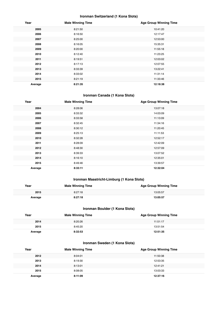## **Ironman Switzerland (1 Kona Slots)**

| Year    | <b>Male Winning Time</b> | <b>Age Group Winning Time</b> |
|---------|--------------------------|-------------------------------|
| 2005    | 8:21:50                  | 10:41:20                      |
| 2006    | 8:16:50                  | 12:17:47                      |
| 2007    | 8:25:00                  | 12:53:00                      |
| 2008    | 8:16:05                  | 15:35:31                      |
| 2009    | 8:20:00                  | 11:55:18                      |
| 2010    | 8:12:40                  | 11:23:25                      |
| 2011    | 8:19:51                  | 12:03:02                      |
| 2012    | 8:17:13                  | 12:07:55                      |
| 2013    | 8:33:39                  | 13:22:41                      |
| 2014    | 8:33:02                  | 11:31:14                      |
| 2015    | 8:21:19                  | 11:33:46                      |
| Average | 8:21:35                  | 12:18:38                      |

## **Ironman Canada (1 Kona Slots)**

| Year    | <b>Male Winning Time</b> | <b>Age Group Winning Time</b> |
|---------|--------------------------|-------------------------------|
| 2004    | 8:28:06                  | 13:07:18                      |
| 2005    | 8:33:32                  | 14:03:09                      |
| 2006    | 8:33:58                  | 11:13:09                      |
| 2007    | 8:32:45                  | 11:34:16                      |
| 2008    | 8:30:12                  | 11:20:45                      |
| 2009    | 8:25:13                  | 11:11:53                      |
| 2010    | 8:32:28                  | 12:52:17                      |
| 2011    | 8:28:09                  | 12:42:09                      |
| 2012    | 8:48:30                  | 12:57:09                      |
| 2013    | 8:39:33                  | 13:07:52                      |
| 2014    | 8:16:10                  | 12:35:01                      |
| 2015    | 8:49:46                  | 13:39:57                      |
| Average | 8:33:11                  | 12:32:04                      |

## **Ironman Maastricht-Limburg (1 Kona Slots)**

| Year    | <b>Male Winning Time</b> | <b>Age Group Winning Time</b> |
|---------|--------------------------|-------------------------------|
| 2015    | 8:27:18                  | 13:05:57                      |
| Average | 8:27:18                  | 13:05:57                      |

## **Ironman Boulder (1 Kona Slots)**

| Year    | <b>Male Winning Time</b> | <b>Age Group Winning Time</b> |
|---------|--------------------------|-------------------------------|
| 2014    | 8:20:26                  | 11:51:17                      |
| 2015    | 8:45:20                  | 13:51:54                      |
| Average | 8:32:53                  | 12:51:35                      |

## **Ironman Sweden (1 Kona Slots)**

| Year    | <b>Male Winning Time</b> | <b>Age Group Winning Time</b> |
|---------|--------------------------|-------------------------------|
| 2012    | 8:04:01                  | 11:50:38                      |
| 2013    | 8:19:30                  | 12:53:35                      |
| 2014    | 8:13:01                  | 12:41:21                      |
| 2015    | 8:08:05                  | 13:03:33                      |
| Average | 8:11:09                  | 12:37:16                      |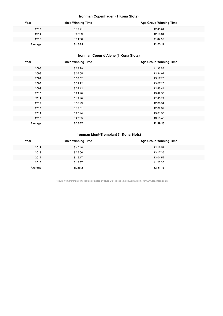## **Ironman Copenhagen (1 Kona Slots)**

| Year    | <b>Male Winning Time</b> | <b>Age Group Winning Time</b> |
|---------|--------------------------|-------------------------------|
| 2013    | 8:12:41                  | 12:45:04                      |
| 2014    | 8:03:39                  | 12:16:34                      |
| 2015    | 8:14:56                  | 11:07:57                      |
| Average | 8:10:25                  | 12:03:11                      |

## **Ironman Coeur d'Alene (1 Kona Slots)**

| Year    | <b>Male Winning Time</b> | <b>Age Group Winning Time</b> |
|---------|--------------------------|-------------------------------|
| 2005    | 8:23:29                  | 11:36:57                      |
| 2006    | 9:07:05                  | 12:34:07                      |
| 2007    | 8:33:32                  | 15:17:26                      |
| 2008    | 8:34:22                  | 13:07:26                      |
| 2009    | 8:32:12                  | 12:45:44                      |
| 2010    | 8:24:40                  | 13:42:50                      |
| 2011    | 8:19:48                  | 12:45:27                      |
| 2012    | 8:32:29                  | 12:36:54                      |
| 2013    | 8:17:31                  | 12:09:32                      |
| 2014    | 8:25:44                  | 13:01:35                      |
| 2015    | 8:20:35                  | 13:15:49                      |
| Average | 8:30:07                  | 12:59:26                      |

## **Ironman Mont-Tremblant (1 Kona Slots)**

| Year    | <b>Male Winning Time</b> | <b>Age Group Winning Time</b> |
|---------|--------------------------|-------------------------------|
| 2012    | 8:40:48                  | 12:16:51                      |
| 2013    | 8:26:06                  | 13:17:35                      |
| 2014    | 8:16:17                  | 13:04:52                      |
| 2015    | 8:17:37                  | 11:25:36                      |
| Average | 8:25:12                  | 12:31:13                      |

Results from Ironman.com. Tables compiled by Russ Cox (russell.m.cox@gmail.com) for www.coachcox.co.uk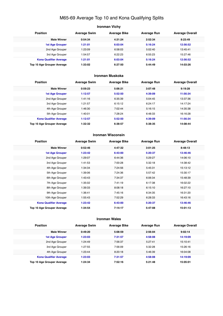## M65-69 Average Top 10 and Kona Qualifying Splits

## **Ironman Vichy Position Average Swim Average Bike Average Run Average Overall Male Winner 0:54:34 4:31:24 2:52:34 8:23:49 1st Age Grouper 1:21:01 6:03:04 5:16:24 12:56:52** 2nd Age Grouper 1:23:09 6:58:03 5:02:40 13:45:41 3rd Age Grouper 1:54:57 6:22:23 6:55:23 15:27:46 **Kona Qualifier Average 1:21:01 6:03:04 5:16:24 12:56:52 Top 10 Age Grouper Average 1:33:02 6:27:50 5:44:49 14:03:26**

#### **Ironman Muskoka**

| <b>Position</b>               | <b>Average Swim</b> | <b>Average Bike</b> | <b>Average Run</b> | <b>Average Overall</b> |
|-------------------------------|---------------------|---------------------|--------------------|------------------------|
| <b>Male Winner</b>            | 0:59:23             | 5:06:21             | 3:07:48            | 9:19:28                |
| <b>1st Age Grouper</b>        | 1:12:57             | 5:52:50             | 4:39:09            | 11:56:34               |
| 2nd Age Grouper               | 1:41:16             | 6:35:39             | 5:04:45            | 13:37:36               |
| 3rd Age Grouper               | 1:21:57             | 6:15:12             | 6:24:17            | 14:17:24               |
| 4th Age Grouper               | 1:46:30             | 7:02:44             | 5:16:15            | 14:35:38               |
| 5th Age Grouper               | 1:40:01             | 7:28:24             | 6:48:33            | 16:16:28               |
| <b>Kona Qualifier Average</b> | 1:12:57             | 5:52:50             | 4:39:09            | 11:56:34               |
| Top 10 Age Grouper Average    | 1:32:32             | 6:38:57             | 5:38:35            | 14:08:44               |

#### **Ironman Wisconsin**

| <b>Position</b>               | <b>Average Swim</b> | <b>Average Bike</b> | <b>Average Run</b> | <b>Average Overall</b> |
|-------------------------------|---------------------|---------------------|--------------------|------------------------|
| <b>Male Winner</b>            | 0:52:46             | 4:47:32             | 3:01:25            | 8:48:13                |
| <b>1st Age Grouper</b>        | 1:23:42             | 6:43:00             | 5:20:37            | 13:46:46               |
| 2nd Age Grouper               | 1:29:07             | 6:44:36             | 5:29:27            | 14:06:10               |
| 3rd Age Grouper               | 1:41:53             | 7:00:28             | 5:32:18            | 14:38:42               |
| 4th Age Grouper               | 1:34:34             | 7:24:56             | 5:45:31            | 15:13:12               |
| 5th Age Grouper               | 1:39:06             | 7:24:36             | 5:57:42            | 15:30:17               |
| 6th Age Grouper               | 1:43:43             | 7:34:37             | 6:06:34            | 15:48:39               |
| 7th Age Grouper               | 1:35:02             | 7:41:19             | 6:17:38            | 16:02:22               |
| 8th Age Grouper               | 1:39:33             | 8:08:18             | 6:15:10            | 16:27:10               |
| 9th Age Grouper               | 1:36:41             | 7:45:16             | 6:34:35            | 16:31:20               |
| 10th Age Grouper              | 1:55:43             | 7:52:29             | 6:28:33            | 16:43:16               |
| <b>Kona Qualifier Average</b> | 1:23:42             | 6:43:00             | 5:20:37            | 13:46:46               |
| Top 10 Age Grouper Average    | 1:34:54             | 7:14:17             | 5:47:08            | 15:01:13               |

#### **Ironman Wales**

| <b>Position</b>               | <b>Average Swim</b> | <b>Average Bike</b> | <b>Average Run</b> | <b>Average Overall</b> |
|-------------------------------|---------------------|---------------------|--------------------|------------------------|
| <b>Male Winner</b>            | 0:49:20             | 5:08:59             | 2:56:04            | 9:02:14                |
| <b>1st Age Grouper</b>        | 1:23:03             | 7:31:57             | 4:58:08            | 14:19:09               |
| 2nd Age Grouper               | 1:24:49             | 7:56:37             | 5:27:41            | 15:10:41               |
| 3rd Age Grouper               | 1:27:55             | 7:56:09             | 5:32:28            | 15:26:16               |
| 4th Age Grouper               | 1:23:44             | 8:20:18             | 5:46:39            | 16:04:08               |
| <b>Kona Qualifier Average</b> | 1:23:03             | 7:31:57             | 4:58:08            | 14:19:09               |
| Top 10 Age Grouper Average    | 1:24:34             | 7:52:16             | 5:21:48            | 15:05:01               |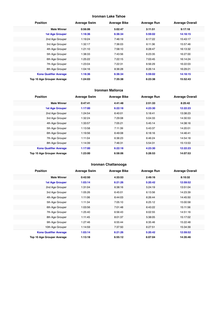## **Ironman Lake Tahoe**

| <b>Position</b>               | <b>Average Swim</b> | <b>Average Bike</b> | <b>Average Run</b> | <b>Average Overall</b> |
|-------------------------------|---------------------|---------------------|--------------------|------------------------|
| <b>Male Winner</b>            | 0:56:06             | 5:02:47             | 3:11:51            | 9:17:18                |
| <b>1st Age Grouper</b>        | 1:18:36             | 6:36:34             | 5:59:02            | 14:18:15               |
| 2nd Age Grouper               | 1:19:24             | 7:46:19             | 6:17:22            | 15:43:17               |
| 3rd Age Grouper               | 1:32:17             | 7:36:03             | 6:11:36            | 15:57:46               |
| 4th Age Grouper               | 1:21:10             | 7:58:10             | 6:28:47            | 16:13:32               |
| 5th Age Grouper               | 1:38:33             | 7:43:56             | 6:23:35            | 16:27:00               |
| 6th Age Grouper               | 1:25:22             | 7:22:15             | 7:03:45            | 16:14:24               |
| 7th Age Grouper               | 1:23:04             | 7:22:31             | 6:56:29            | 16:22:03               |
| 8th Age Grouper               | 1:04:16             | 8:36:28             | 6:26:14            | 16:29:21               |
| <b>Kona Qualifier Average</b> | 1:18:36             | 6:36:34             | 5:59:02            | 14:18:15               |
| Top 10 Age Grouper Average    | 1:24:03             | 7:35:38             | 6:23:38            | 15:52:43               |

#### **Ironman Mallorca**

| <b>Position</b>               | <b>Average Swim</b> | <b>Average Bike</b> | <b>Average Run</b> | <b>Average Overall</b> |
|-------------------------------|---------------------|---------------------|--------------------|------------------------|
| <b>Male Winner</b>            | 0:47:41             | 4:41:48             | 2:51:33            | 8:25:42                |
| <b>1st Age Grouper</b>        | 1:17:00             | 6:22:18             | 4:23:30            | 12:22:23               |
| 2nd Age Grouper               | 1:24:54             | 6:40:01             | 5:18:41            | 13:38:23               |
| 3rd Age Grouper               | 1:32:24             | 7:29:08             | 5:04:33            | 14:30:53               |
| 4th Age Grouper               | 1:33:57             | 7:05:21             | 5:45:14            | 14:38:16               |
| 5th Age Grouper               | 1:13:58             | 7:11:39             | 5:43:37            | 14:20:01               |
| 6th Age Grouper               | 1:19:56             | 6:49:08             | 6:18:16            | 14:46:41               |
| 7th Age Grouper               | 1:11:04             | 6:36:23             | 6:46:24            | 14:54:18               |
| 8th Age Grouper               | 1:14:39             | 7:46:31             | 5:54:31            | 15:13:53               |
| <b>Kona Qualifier Average</b> | 1:17:00             | 6:22:18             | 4:23:30            | 12:22:23               |
| Top 10 Age Grouper Average    | 1:23:00             | 6:58:06             | 5:28:53            | 14:07:53               |

## **Ironman Chattanooga**

| <b>Position</b>               | <b>Average Swim</b> | <b>Average Bike</b> | <b>Average Run</b> | <b>Average Overall</b> |
|-------------------------------|---------------------|---------------------|--------------------|------------------------|
| <b>Male Winner</b>            | 0:42:50             | 4:33:53             | 2:49:16            | 8:10:32                |
| <b>1st Age Grouper</b>        | 1:03:14             | 6:21:26             | 5:20:42            | 12:59:52               |
| 2nd Age Grouper               | 1:31:04             | 6:38:16             | 5:24:19            | 13:51:04               |
| 3rd Age Grouper               | 1:05:26             | 6:45:01             | 6:13:56            | 14:23:39               |
| 4th Age Grouper               | 1:11:06             | 6:44:03             | 6:26:44            | 14:45:50               |
| 5th Age Grouper               | 1:11:34             | 7:05:10             | 6:25:12            | 15:00:58               |
| 6th Age Grouper               | 1:03:56             | 7:01:48             | 6:43:22            | 15:11:56               |
| 7th Age Grouper               | 1:25:40             | 6:56:43             | 6:02:55            | 14:51:16               |
| 8th Age Grouper               | 1:11:45             | 8:01:37             | 5:38:05            | 15:17:02               |
| 9th Age Grouper               | 1:27:46             | 6:55:44             | 6:35:46            | 15:22:48               |
| 10th Age Grouper              | 1:14:59             | 7:37:50             | 6:27:51            | 15:34:39               |
| <b>Kona Qualifier Average</b> | 1:03:14             | 6:21:26             | 5:20:42            | 12:59:52               |
| Top 10 Age Grouper Average    | 1:13:18             | 6:55:12             | 6:07:04            | 14:35:46               |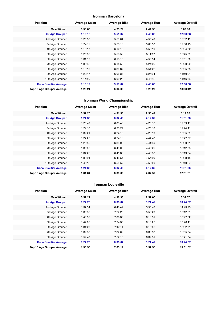#### **Ironman Barcelona**

| <b>Position</b>               | <b>Average Swim</b> | <b>Average Bike</b> | <b>Average Run</b> | <b>Average Overall</b> |
|-------------------------------|---------------------|---------------------|--------------------|------------------------|
| <b>Male Winner</b>            | 0:50:00             | 4:25:29             | 2:44:56            | 8:03:16                |
| <b>1st Age Grouper</b>        | 1:16:19             | 5:51:02             | 4:43:03            | 12:00:08               |
| 2nd Age Grouper               | 1:25:58             | 5:59:04             | 4:55:49            | 12:32:49               |
| 3rd Age Grouper               | 1:24:11             | 5:53:16             | 5:08:50            | 12:38:15               |
| 4th Age Grouper               | 1:19:17             | 6:12:15             | 5:53:19            | 13:34:32               |
| 5th Age Grouper               | 1:25:52             | 5:58:52             | 5:11:17            | 12:45:39               |
| 6th Age Grouper               | 1:31:12             | 6:13:13             | 4:53:54            | 12:51:20               |
| 7th Age Grouper               | 1:35:33             | 6:14:58             | 5:24:25            | 13:20:50               |
| 8th Age Grouper               | 1:18:10             | 6:30:37             | 5:54:22            | 13:55:35               |
| 9th Age Grouper               | 1:29:47             | 6:06:37             | 6:24:34            | 14:10:24               |
| 10th Age Grouper              | 1:14:59             | 6:02:25             | 6:45:42            | 14:16:33               |
| <b>Kona Qualifier Average</b> | 1:16:19             | 5:51:02             | 4:43:03            | 12:00:08               |
| Top 10 Age Grouper Average    | 1:23:21             | 6:04:08             | 5:25:27            | 13:03:42               |

## **Ironman World Championship**

| <b>Position</b>               | <b>Average Swim</b> | <b>Average Bike</b> | <b>Average Run</b> | <b>Average Overall</b> |
|-------------------------------|---------------------|---------------------|--------------------|------------------------|
| <b>Male Winner</b>            | 0:52:20             | 4:31:38             | 2:50:49            | 8:19:02                |
| <b>1st Age Grouper</b>        | 1:24:38             | 6:02:48             | 4:12:32            | 11:51:06               |
| 2nd Age Grouper               | 1:28:49             | 6:03:46             | 4:26:16            | 12:09:41               |
| 3rd Age Grouper               | 1:24:18             | 6:23:27             | 4:25:18            | 12:24:41               |
| 4th Age Grouper               | 1:32:21             | 6:24:13             | 4:28:19            | 12:35:29               |
| 5th Age Grouper               | 1:27:25             | 6:24:16             | 4:44:43            | 12:47:37               |
| 6th Age Grouper               | 1:28:55             | 6:38:00             | 4:41:39            | 13:00:31               |
| 7th Age Grouper               | 1:30:08             | 6:49:09             | 4:40:25            | 13:12:33               |
| 8th Age Grouper               | 1:34:26             | 6:41:33             | 4:49:38            | 13:19:54               |
| 9th Age Grouper               | 1:39:24             | 6:46:54             | 4:54:29            | 13:33:15               |
| 10th Age Grouper              | 1:40:18             | 6:50:57             | 4:56:09            | 13:40:27               |
| <b>Kona Qualifier Average</b> | 1:24:38             | 6:02:48             | 4:12:32            | 11:51:06               |
| Top 10 Age Grouper Average    | 1:31:04             | 6:30:30             | 4:37:57            | 12:51:31               |

#### **Ironman Louisville**

| <b>Position</b>               | <b>Average Swim</b> | <b>Average Bike</b> | <b>Average Run</b> | <b>Average Overall</b> |
|-------------------------------|---------------------|---------------------|--------------------|------------------------|
| <b>Male Winner</b>            | 0:52:21             | 4:38:36             | 2:57:00            | 8:32:37                |
| <b>1st Age Grouper</b>        | 1:27:25             | 6:36:07             | 5:21:42            | 13:44:02               |
| 2nd Age Grouper               | 1:37:54             | 6:48:49             | 5:55:43            | 14:43:23               |
| 3rd Age Grouper               | 1:36:35             | 7:22:29             | 5:50:20            | 15:12:21               |
| 4th Age Grouper               | 1:40:52             | 7:06:39             | 6:16:51            | 15:27:52               |
| 5th Age Grouper               | 1:44:06             | 7:24:38             | 6:13:25            | 15:46:41               |
| 6th Age Grouper               | 1:34:20             | 7:17:11             | 6:15:06            | 15:32:01               |
| 7th Age Grouper               | 1:32:33             | 7:32:02             | 6:33:53            | 16:05:34               |
| 8th Age Grouper               | 1:52:49             | 7:57:13             | 6:32:31            | 16:41:04               |
| <b>Kona Qualifier Average</b> | 1:27:25             | 6:36:07             | 5:21:42            | 13:44:02               |
| Top 10 Age Grouper Average    | 1:36:38             | 7:05:19             | 5:57:38            | 15:01:52               |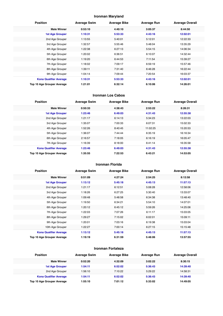## **Ironman Maryland**

| <b>Position</b>                   | <b>Average Swim</b> | <b>Average Bike</b> | <b>Average Run</b> | <b>Average Overall</b> |
|-----------------------------------|---------------------|---------------------|--------------------|------------------------|
| <b>Male Winner</b>                | 0:53:10             | 4:40:10             | 3:05:37            | 8:44:50                |
| <b>1st Age Grouper</b>            | 1:10:31             | 5:53:33             | 4:43:16            | 12:02:01               |
| 2nd Age Grouper                   | 1:13:55             | 5:40:01             | 5:12:01            | 12:22:33               |
| 3rd Age Grouper                   | 1:32:57             | 5:55:46             | 5:48:04            | 13:35:29               |
| 4th Age Grouper                   | 1:22:38             | 6:27:13             | 5:54:15            | 14:06:34               |
| 5th Age Grouper                   | 1:20:02             | 6:36:51             | 6:10:07            | 14:32:44               |
| 6th Age Grouper                   | 1:19:20             | 6:44:53             | 7:11:54            | 15:39:27               |
| 7th Age Grouper                   | 1:18:02             | 7:09:17             | 6:59:19            | 15:57:46               |
| 8th Age Grouper                   | 1:39:11             | 7:31:40             | 6:46:28            | 16:22:44               |
| 9th Age Grouper                   | 1:04:14             | 7:09:44             | 7:20:54            | 16:03:37               |
| <b>Kona Qualifier Average</b>     | 1:10:31             | 5:53:33             | 4:43:16            | 12:02:01               |
| <b>Top 10 Age Grouper Average</b> | 1:21:01             | 6:32:14             | 6:10:06            | 14:26:01               |

#### **Ironman Los Cabos**

| <b>Position</b>               | <b>Average Swim</b> | <b>Average Bike</b> | <b>Average Run</b> | <b>Average Overall</b> |
|-------------------------------|---------------------|---------------------|--------------------|------------------------|
| <b>Male Winner</b>            | 0:50:33             | 4:38:43             | 2:53:22            | 8:26:31                |
| <b>1st Age Grouper</b>        | 1:23:46             | 6:49:03             | 4:31:43            | 12:55:38               |
| 2nd Age Grouper               | 1:21:17             | 6:14:13             | 5:34:23            | 13:22:03               |
| 3rd Age Grouper               | 1:35:07             | 7:00:33             | 6:07:31            | 15:02:33               |
| 4th Age Grouper               | 1:52:26             | 8:40:45             | 11:02:25           | 15:20:53               |
| 5th Age Grouper               | 1:36:07             | 7:44:44             | 6:35:19            | 16:16:34               |
| 6th Age Grouper               | 2:16:57             | 7:18:05             | 6:16:19            | 16:05:47               |
| 7th Age Grouper               | 1:16:39             | 8:18:00             | 6:41:14            | 16:35:58               |
| <b>Kona Qualifier Average</b> | 1:23:46             | 6:49:03             | 4:31:43            | 12:55:38               |
| Top 10 Age Grouper Average    | 1:35:55             | 7:22:53             | 6:43:21            | 14:53:05               |

#### **Ironman Florida**

| <b>Position</b>               | <b>Average Swim</b> | <b>Average Bike</b> | <b>Average Run</b> | <b>Average Overall</b> |
|-------------------------------|---------------------|---------------------|--------------------|------------------------|
| <b>Male Winner</b>            | 0:51:09             | 4:27:24             | 2:54:25            | 8:12:58                |
| <b>1st Age Grouper</b>        | 1:13:12             | 5:45:18             | 4:45:13            | 11:57:13               |
| 2nd Age Grouper               | 1:21:17             | 6:12:51             | 5:08:28            | 12:58:06               |
| 3rd Age Grouper               | 1:18:26             | 6:27:25             | 5:30:40            | 13:33:07               |
| 4th Age Grouper               | 1:09:48             | 5:48:58             | 6:34:38            | 13:48:40               |
| 5th Age Grouper               | 1:19:50             | 6:34:21             | 5:54:10            | 14:07:01               |
| 6th Age Grouper               | 1:20:12             | 6:45:12             | 5:59:26            | 14:25:06               |
| 7th Age Grouper               | 1:22:03             | 7:07:26             | 6:11:17            | 15:03:05               |
| 8th Age Grouper               | 1:29:27             | 7:15:02             | 6:02:01            | 15:09:11               |
| 9th Age Grouper               | 1:20:01             | 7:03:16             | 6:19:38            | 15:03:04               |
| 10th Age Grouper              | 1:22:27             | 7:00:14             | 6:27:15            | 15:15:48               |
| <b>Kona Qualifier Average</b> | 1:13:12             | 5:45:18             | 4:45:13            | 11:57:13               |
| Top 10 Age Grouper Average    | 1:19:19             | 6:31:59             | 5:48:06            | 13:57:55               |

#### **Ironman Fortaleza**

| <b>Position</b>               | <b>Average Swim</b> | <b>Average Bike</b> | Average Run | <b>Average Overall</b> |
|-------------------------------|---------------------|---------------------|-------------|------------------------|
| <b>Male Winner</b>            | 0:52:20             | 4:32:09             | 3:02:22     | 8:30:15                |
| <b>1st Age Grouper</b>        | 1:54:11             | 6:52:02             | 5:36:43     | 14:39:40               |
| 2nd Age Grouper               | 1:56:10             | 7:10:22             | 5:29:22     | 14:58:31               |
| <b>Kona Qualifier Average</b> | 1:54:11             | 6:52:02             | 5:36:43     | 14:39:40               |
| Top 10 Age Grouper Average    | 1:55:10             | 7:01:12             | 5:33:02     | 14:49:05               |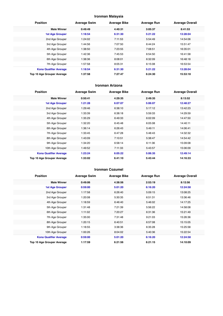## **Ironman Malaysia**

| <b>Position</b>               | <b>Average Swim</b> | <b>Average Bike</b> | <b>Average Run</b> | <b>Average Overall</b> |
|-------------------------------|---------------------|---------------------|--------------------|------------------------|
| <b>Male Winner</b>            | 0:49:49             | 4:40:31             | 3:05:37            | 8:41:53                |
| <b>1st Age Grouper</b>        | 1:18:54             | 6:31:30             | 5:21:22            | 13:28:04               |
| 2nd Age Grouper               | 1:24:02             | 7:11:53             | 5:54:49            | 14:54:06               |
| 3rd Age Grouper               | 1:44:56             | 7:07:50             | 6:44:24            | 15:51:47               |
| 4th Age Grouper               | 1:38:50             | 7:23:55             | 7:08:51            | 16:35:01               |
| 5th Age Grouper               | 1:42:36             | 7:45:53             | 6:54:50            | 16:41:58               |
| 6th Age Grouper               | 1:38:36             | 8:08:01             | 6:32:09            | 16:48:18               |
| 7th Age Grouper               | 1:57:58             | 8:05:31             | 6:15:08            | 16:53:54               |
| <b>Kona Qualifier Average</b> | 1:18:54             | 6:31:30             | 5:21:22            | 13:28:04               |
| Top 10 Age Grouper Average    | 1:37:58             | 7:27:47             | 6:24:30            | 15:53:18               |

#### **Ironman Arizona**

| <b>Position</b>               | <b>Average Swim</b> | <b>Average Bike</b> | <b>Average Run</b> | <b>Average Overall</b> |
|-------------------------------|---------------------|---------------------|--------------------|------------------------|
| <b>Male Winner</b>            | 0:50:41             | 4:29:35             | 2:49:35            | 8:13:52                |
| <b>1st Age Grouper</b>        | 1:21:28             | 6:07:07             | 5:06:07            | 12:48:27               |
| 2nd Age Grouper               | 1:29:46             | 6:38:10             | 5:17:12            | 13:42:23               |
| 3rd Age Grouper               | 1:33:39             | 6:38:18             | 5:59:33            | 14:29:59               |
| 4th Age Grouper               | 1:35:29             | 6:49:33             | 6:02:09            | 14:47:50               |
| 5th Age Grouper               | 1:32:20             | 6:45:48             | 6:05:08            | 14:40:11               |
| 6th Age Grouper               | 1:36:14             | 6:26:43             | 5:49:11            | 14:06:41               |
| 7th Age Grouper               | 1:33:45             | 6:47:28             | 5:48:43            | 14:32:32               |
| 8th Age Grouper               | 1:43:09             | 7:10:51             | 5:38:47            | 14:54:42               |
| 9th Age Grouper               | 1:34:20             | 6:58:14             | 6:11:36            | 15:09:08               |
| 10th Age Grouper              | 1:49:52             | 7:11:33             | 5:43:57            | 15:06:09               |
| <b>Kona Qualifier Average</b> | 1:23:24             | 6:05:22             | 5:06:35            | 12:49:14               |
| Top 10 Age Grouper Average    | 1:33:02             | 6:41:10             | 5:43:44            | 14:16:33               |

#### **Ironman Cozumel**

| <b>Position</b>               | <b>Average Swim</b> | <b>Average Bike</b> | <b>Average Run</b> | <b>Average Overall</b> |
|-------------------------------|---------------------|---------------------|--------------------|------------------------|
| <b>Male Winner</b>            | 0:49:06             | 4:38:56             | 2:53:19            | 8:12:56                |
| <b>1st Age Grouper</b>        | 0:59:00             | 5:01:20             | 6:16:20            | 12:24:58               |
| 2nd Age Grouper               | 1:17:58             | 6:26:40             | 5:09:15            | 13:08:25               |
| 3rd Age Grouper               | 1:20:08             | 5:30:35             | 6:51:31            | 13:36:46               |
| 4th Age Grouper               | 1:18:59             | 6:46:40             | 5:46:02            | 14:17:25               |
| 5th Age Grouper               | 1:31:48             | 7:21:39             | 5:56:22            | 14:58:08               |
| 6th Age Grouper               | 1:11:02             | 7:20:27             | 6:31:36            | 15:21:49               |
| 7th Age Grouper               | 1:35:00             | 7:31:48             | 9:21:03            | 15:26:36               |
| 8th Age Grouper               | 1:20:15             | 6:40:51             | 6:57:08            | 15:15:05               |
| 9th Age Grouper               | 1:18:55             | 3:38:36             | 6:35:28            | 15:25:58               |
| 10th Age Grouper              | 1:00:26             | 8:04:02             | 5:40:36            | 15:22:54               |
| <b>Kona Qualifier Average</b> | 0:59:00             | 5:01:20             | 6:16:20            | 12:24:58               |
| Top 10 Age Grouper Average    | 1:17:59             | 6:21:56             | 6:21:15            | 14:10:09               |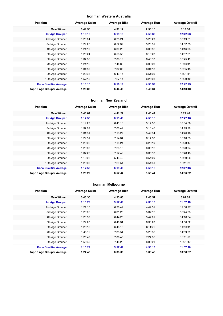#### **Ironman Western Australia**

| <b>Position</b>               | <b>Average Swim</b> | <b>Average Bike</b> | <b>Average Run</b> | <b>Average Overall</b> |
|-------------------------------|---------------------|---------------------|--------------------|------------------------|
| <b>Male Winner</b>            | 0:49:56             | 4:31:17             | 2:50:16            | 8:13:36                |
| <b>1st Age Grouper</b>        | 1:18:16             | 6:19:19             | 4:56:39            | 12:42:23               |
| 2nd Age Grouper               | 1:23:04             | 6:25:21             | 5:20:29            | 13:19:21               |
| 3rd Age Grouper               | 1:29:25             | 6:52:39             | 5:28:31            | 14:02:03               |
| 4th Age Grouper               | 1:24:10             | 6:30:28             | 6:06:52            | 14:16:03               |
| 5th Age Grouper               | 1:26:24             | 6:58:53             | 6:19:28            | 14:57:51               |
| 6th Age Grouper               | 1:34:35             | 7:08:19             | 6:40:13            | 15:45:49               |
| 7th Age Grouper               | 1:24:12             | 7:44:30             | 6:08:23            | 15:40:11               |
| 8th Age Grouper               | 1:34:50             | 7:32:09             | 6:34:18            | 15:55:45               |
| 9th Age Grouper               | 1:23:36             | 6:43:44             | 6:51:25            | 15:21:14               |
| 10th Age Grouper              | 1:57:15             | 7:27:14             | 6:26:03            | 16:09:40               |
| <b>Kona Qualifier Average</b> | 1:18:16             | 6:19:19             | 4:56:39            | 12:42:23               |
| Top 10 Age Grouper Average    | 1:26:03             | 6:44:46             | 5:46:34            | 14:10:40               |

#### **Ironman New Zealand**

| <b>Position</b>               | <b>Average Swim</b> | <b>Average Bike</b> | <b>Average Run</b> | <b>Average Overall</b> |
|-------------------------------|---------------------|---------------------|--------------------|------------------------|
| <b>Male Winner</b>            | 0:48:04             | 4:41:22             | 2:48:44            | 8:22:46                |
| <b>1st Age Grouper</b>        | 1:17:53             | 6:19:40             | 4:55:18            | 12:47:16               |
| 2nd Age Grouper               | 1:19:27             | 6:41:18             | 5:17:56            | 13:34:56               |
| 3rd Age Grouper               | 1:37:09             | 7:00:49             | 5:18:45            | 14:13:29               |
| 4th Age Grouper               | 1:31:31             | 7:13:27             | 5:42:34            | 14:46:16               |
| 5th Age Grouper               | 1:22:51             | 7:14:34             | 6:14:53            | 15:10:33               |
| 6th Age Grouper               | 1:28:02             | 7:15:24             | 6:25:19            | 15:23:47               |
| 7th Age Grouper               | 1:29:03             | 7:28:18             | 6:06:12            | 15:23:04               |
| 8th Age Grouper               | 1:37:25             | 7:17:42             | 6:35:18            | 15:48:43               |
| 9th Age Grouper               | 1:10:06             | 5:43:42             | 8:54:09            | 15:59:26               |
| 10th Age Grouper              | 1:29:03             | 7:29:54             | 6:54:31            | 16:11:25               |
| <b>Kona Qualifier Average</b> | 1:17:53             | 6:19:40             | 4:55:18            | 12:47:16               |
| Top 10 Age Grouper Average    | 1:26:22             | 6:57:44             | 5:55:44            | 14:36:32               |

#### **Ironman Melbourne**

| <b>Position</b>               | <b>Average Swim</b> | <b>Average Bike</b> | <b>Average Run</b> | <b>Average Overall</b> |
|-------------------------------|---------------------|---------------------|--------------------|------------------------|
| <b>Male Winner</b>            | 0:48:36             | 4:25:06             | 2:43:51            | 8:01:05                |
| <b>1st Age Grouper</b>        | 1:15:29             | 5:57:49             | 4:33:13            | 11:57:48               |
| 2nd Age Grouper               | 1:21:15             | 6:20:42             | 4:42:51            | 12:38:27               |
| 3rd Age Grouper               | 1:20:02             | 6:31:25             | 5:37:12            | 13:44:33               |
| 4th Age Grouper               | 1:26:59             | 6:44:25             | 5:47:01            | 14:16:54               |
| 5th Age Grouper               | 1:22:20             | 6:40:31             | 6:30:28            | 14:50:52               |
| 6th Age Grouper               | 1:28:16             | 6:48:13             | 6:11:21            | 14:50:11               |
| 7th Age Grouper               | 1:45:11             | 7:35:54             | 5:23:36            | 14:59:09               |
| 8th Age Grouper               | 1:25:42             | 7:06:40             | 7:24:35            | 16:11:59               |
| 9th Age Grouper               | 1:50:45             | 7:48:26             | 6:30:21            | 16:21:47               |
| <b>Kona Qualifier Average</b> | 1:15:29             | 5:57:49             | 4:33:13            | 11:57:48               |
| Top 10 Age Grouper Average    | 1:24:49             | 6:38:36             | 5:39:40            | 13:58:57               |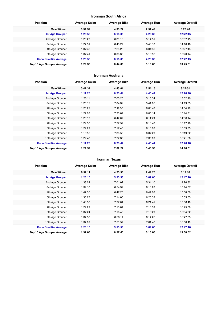#### **Ironman South Africa**

| <b>Position</b>               | <b>Average Swim</b> | <b>Average Bike</b> | <b>Average Run</b> | <b>Average Overall</b> |
|-------------------------------|---------------------|---------------------|--------------------|------------------------|
| <b>Male Winner</b>            | 0:51:32             | 4:33:27             | 2:51:49            | 8:20:46                |
| <b>1st Age Grouper</b>        | 1:26:58             | 6:16:05             | 4:28:39            | 12:22:15               |
| 2nd Age Grouper               | 1:28:27             | 6:39:18             | 5:14:51            | 13:37:15               |
| 3rd Age Grouper               | 1:27:51             | 6:45:27             | 5:40:10            | 14:10:46               |
| 4th Age Grouper               | 1:37:48             | 7:23:28             | 6:04:36            | 15:27:43               |
| 5th Age Grouper               | 1:37:41             | 8:08:38             | 5:18:52            | 15:20:14               |
| <b>Kona Qualifier Average</b> | 1:26:58             | 6:16:05             | 4:28:39            | 12:22:15               |
| Top 10 Age Grouper Average    | 1:29:38             | 6:44:00             | 5:16:05            | 13:45:01               |

## **Ironman Australia**

| <b>Position</b>               | <b>Average Swim</b> | <b>Average Bike</b> | <b>Average Run</b> | <b>Average Overall</b> |
|-------------------------------|---------------------|---------------------|--------------------|------------------------|
| <b>Male Winner</b>            | 0:47:37             | 4:43:01             | 2:54:15            | 8:27:01                |
| <b>1st Age Grouper</b>        | 1:11:25             | 6:23:44             | 4:45:44            | 12:26:40               |
| 2nd Age Grouper               | 1:20:11             | 7:05:20             | 5:18:34            | 13:52:40               |
| 3rd Age Grouper               | 1:25:12             | 7:04:32             | 5:41:06            | 14:19:05               |
| 4th Age Grouper               | 1:25:22             | 7:11:50             | 6:03:43            | 14:54:19               |
| 5th Age Grouper               | 1:29:03             | 7:23:07             | 6:05:14            | 15:14:31               |
| 6th Age Grouper               | 1:29:17             | 6:42:07             | 6:11:29            | 14:36:14               |
| 7th Age Grouper               | 1:22:50             | 7:27:57             | 6:10:43            | 15:17:18               |
| 8th Age Grouper               | 1:29:29             | 7:17:45             | 6:10:03            | 15:09:35               |
| 9th Age Grouper               | 1:18:55             | 7:38:59             | 6:07:29            | 15:19:52               |
| 10th Age Grouper              | 1:22:48             | 7:27:33             | 7:35:09            | 16:41:56               |
| <b>Kona Qualifier Average</b> | 1:11:25             | 6:23:44             | 4:45:44            | 12:26:40               |
| Top 10 Age Grouper Average    | 1:21:59             | 7:02:22             | 5:40:53            | 14:16:01               |

## **Ironman Texas**

| <b>Position</b>               | <b>Average Swim</b> | <b>Average Bike</b> | <b>Average Run</b> | <b>Average Overall</b> |
|-------------------------------|---------------------|---------------------|--------------------|------------------------|
| <b>Male Winner</b>            | 0:52:11             | 4:25:50             | 2:49:28            | 8:12:10                |
| <b>1st Age Grouper</b>        | 1:28:15             | 5:55:50             | 5:09:05            | 12:47:10               |
| 2nd Age Grouper               | 1:33:24             | 7:01:02             | 5:34:10            | 14:26:32               |
| 3rd Age Grouper               | 1:39:10             | 6:54:39             | 6:16:28            | 15:14:07               |
| 4th Age Grouper               | 1:47:35             | 6:47:28             | 6:41:08            | 15:38:00               |
| 5th Age Grouper               | 1:36:27             | 7:14:00             | 6:23:32            | 15:35:55               |
| 6th Age Grouper               | 1:43:50             | 7:27:04             | 6:21:41            | 15:56:40               |
| 7th Age Grouper               | 1:29:29             | 7:13:04             | 7:13:39            | 16:25:00               |
| 8th Age Grouper               | 1:37:24             | 7:16:43             | 7:18:29            | 16:34:22               |
| 9th Age Grouper               | 1:34:50             | 8:38:11             | 6:14:26            | 16:47:35               |
| 10th Age Grouper              | 1:37:09             | 7:51:57             | 7:01:46            | 16:50:49               |
| <b>Kona Qualifier Average</b> | 1:28:15             | 5:55:50             | 5:09:05            | 12:47:10               |
| Top 10 Age Grouper Average    | 1:37:08             | 6:57:45             | 6:13:08            | 15:08:52               |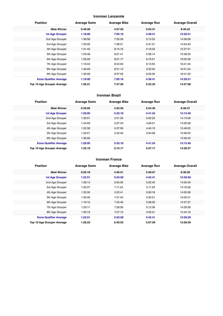#### **Ironman Lanzarote**

| <b>Position</b>               | <b>Average Swim</b> | <b>Average Bike</b> | <b>Average Run</b> | <b>Average Overall</b> |
|-------------------------------|---------------------|---------------------|--------------------|------------------------|
| <b>Male Winner</b>            | 0:49:28             | 4:57:52             | 2:53:31            | 8:46:42                |
| <b>1st Age Grouper</b>        | 1:18:00             | 7:05:16             | 4:38:41            | 13:20:31               |
| 2nd Age Grouper               | 1:36:58             | 7:25:39             | 5:13:53            | 14:36:08               |
| 3rd Age Grouper               | 1:20:06             | 7:38:21             | 5:31:31            | 14:54:40               |
| 4th Age Grouper               | 1:31:40             | 8:15:16             | 5:18:33            | 15:27:51               |
| 5th Age Grouper               | 1:23:48             | 8:21:41             | 5:36:14            | 15:38:53               |
| 6th Age Grouper               | 1:29:26             | 8:01:17             | 6:16:51            | 16:05:56               |
| 7th Age Grouper               | 1:19:43             | 8:44:00             | 6:13:55            | 16:41:45               |
| 8th Age Grouper               | 1:40:09             | 8:51:12             | 5:32:20            | 16:31:34               |
| 9th Age Grouper               | 1:30:06             | 8:37:29             | 6:09:30            | 16:41:20               |
| <b>Kona Qualifier Average</b> | 1:18:00             | 7:05:16             | 4:38:41            | 13:20:31               |
| Top 10 Age Grouper Average    | 1:26:21             | 7:47:26             | 5:22:32            | 14:57:08               |

#### **Ironman Brazil**

| <b>Position</b>               | <b>Average Swim</b> | <b>Average Bike</b> | <b>Average Run</b> | <b>Average Overall</b> |
|-------------------------------|---------------------|---------------------|--------------------|------------------------|
| <b>Male Winner</b>            | 0:49:05             | 4:25:58             | 2:54:46            | 8:36:37                |
| <b>1st Age Grouper</b>        | 1:20:05             | 5:32:18             | 4:41:24            | 13:13:48               |
| 2nd Age Grouper               | 1:30:57             | 5:51:33             | 5:00:23            | 14:13:06               |
| 3rd Age Grouper               | 1:44:09             | 5:07:43             | 4:09:51            | 14:29:28               |
| 4th Age Grouper               | 1:52:39             | 5:37:09             | 4:40:10            | 15:48:25               |
| 5th Age Grouper               | 1:23:01             | 3:42:40             | 3:34:08            | 15:56:03               |
| 6th Age Grouper               | 1:39:06             |                     |                    | 15:39:40               |
| <b>Kona Qualifier Average</b> | 1:20:05             | 5:32:18             | 4:41:24            | 13:13:48               |
| Top 10 Age Grouper Average    | 1:32:10             | 5:15:17             | 4:27:17            | 14:20:27               |

## **Ironman France**

| <b>Position</b>               | <b>Average Swim</b> | <b>Average Bike</b> | <b>Average Run</b> | <b>Average Overall</b> |
|-------------------------------|---------------------|---------------------|--------------------|------------------------|
| <b>Male Winner</b>            | 0:50:18             | 4:46:51             | 2:48:07            | 8:30:38                |
| <b>1st Age Grouper</b>        | 1:22:51             | 5:53:58             | 4:42:41            | 12:59:29               |
| 2nd Age Grouper               | 1:28:13             | 6:55:30             | 5:20:40            | 14:02:46               |
| 3rd Age Grouper               | 1:33:37             | 7:11:24             | 5:11:29            | 14:16:36               |
| 4th Age Grouper               | 1:33:30             | 5:22:41             | 5:09:18            | 14:00:08               |
| 5th Age Grouper               | 1:33:49             | 7:41:44             | 5:30:21            | 15:02:21               |
| 6th Age Grouper               | 1:19:10             | 7:45:49             | 5:28:29            | 14:57:57               |
| 7th Age Grouper               | 1:29:11             | 7:28:26             | 5:12:36            | 14:29:26               |
| 8th Age Grouper               | 1:29:19             | 7:57:15             | 4:55:01            | 14:44:16               |
| <b>Kona Qualifier Average</b> | 1:22:51             | 5:53:58             | 4:42:41            | 12:59:29               |
| Top 10 Age Grouper Average    | 1:28:23             | 6:40:55             | 5:07:59            | 13:58:39               |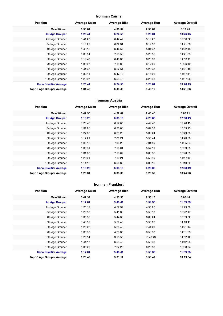#### **Ironman Cairns**

| <b>Position</b>               | <b>Average Swim</b> | <b>Average Bike</b> | <b>Average Run</b> | <b>Average Overall</b> |
|-------------------------------|---------------------|---------------------|--------------------|------------------------|
| <b>Male Winner</b>            | 0:50:04             | 4:30:34             | 2:53:07            | 8:17:45                |
| <b>1st Age Grouper</b>        | 1:25:41             | 6:24:55             | 5:23:01            | 13:26:45               |
| 2nd Age Grouper               | 1:41:29             | 6:47:47             | 5:12:22            | 13:56:32               |
| 3rd Age Grouper               | 1:18:22             | 6:32:31             | 6:12:37            | 14:21:58               |
| 4th Age Grouper               | 1:43:15             | 6:44:57             | 5:34:47            | 14:22:18               |
| 5th Age Grouper               | 1:38:54             | 7:15:56             | 5:26:55            | 14:41:33               |
| 6th Age Grouper               | 1:19:47             | 6:48:35             | 6:28:37            | 14:53:11               |
| 7th Age Grouper               | 1:38:27             | 7:15:36             | 6:17:00            | 15:26:12               |
| 8th Age Grouper               | 1:41:47             | 6:57:54             | 5:26:43            | 14:21:46               |
| 9th Age Grouper               | 1:33:41             | 6:47:43             | 6:15:06            | 14:57:14               |
| 10th Age Grouper              | 1:20:27             | 6:59:46             | 6:25:38            | 14:57:56               |
| <b>Kona Qualifier Average</b> | 1:25:41             | 6:24:55             | 5:23:01            | 13:26:45               |
| Top 10 Age Grouper Average    | 1:31:45             | 6:46:43             | 5:46:12            | 14:21:06               |

#### **Ironman Austria**

| <b>Position</b>               | <b>Average Swim</b> | <b>Average Bike</b> | <b>Average Run</b> | <b>Average Overall</b> |
|-------------------------------|---------------------|---------------------|--------------------|------------------------|
| <b>Male Winner</b>            | 0:47:35             | 4:22:02             | 2:46:46            | 8:00:21                |
| <b>1st Age Grouper</b>        | 1:18:25             | 6:08:16             | 4:28:00            | 12:08:49               |
| 2nd Age Grouper               | 1:26:46             | 6:17:05             | 4:49:46            | 12:48:45               |
| 3rd Age Grouper               | 1:31:26             | 6:20:03             | 5:02:32            | 13:09:13               |
| 4th Age Grouper               | 1:27:08             | 6:29:26             | 5:36:24            | 13:49:38               |
| 5th Age Grouper               | 1:17:21             | 7:00:21             | 5:55:44            | 14:43:28               |
| 6th Age Grouper               | 1:36:11             | 7:06:25             | 7:01:59            | 14:35:24               |
| 7th Age Grouper               | 1:35:31             | 7:16:01             | 5:57:19            | 15:09:25               |
| 8th Age Grouper               | 1:31:08             | 7:13:07             | 6:09:36            | 15:20:25               |
| 9th Age Grouper               | 1:26:01             | 7:12:21             | 5:53:40            | 14:47:19               |
| 10th Age Grouper              | 1:14:12             | 6:56:32             | 6:38:16            | 15:10:20               |
| <b>Kona Qualifier Average</b> | 1:18:25             | 6:08:16             | 4:28:00            | 12:08:49               |
| Top 10 Age Grouper Average    | 1:26:31             | 6:38:08             | 5:28:52            | 13:44:26               |

#### **Ironman Frankfurt**

| <b>Position</b>               | <b>Average Swim</b> | <b>Average Bike</b> | <b>Average Run</b> | <b>Average Overall</b> |
|-------------------------------|---------------------|---------------------|--------------------|------------------------|
| <b>Male Winner</b>            | 0:47:34             | 4:23:50             | 2:50:18            | 8:05:14                |
| <b>1st Age Grouper</b>        | 1:17:01             | 5:48:41             | 3:59:35            | 11:39:03               |
| 2nd Age Grouper               | 1:20:12             | 4:57:37             | 4:58:25            | 12:29:09               |
| 3rd Age Grouper               | 1:20:50             | 5:41:36             | 5:59:10            | 13:22:17               |
| 4th Age Grouper               | 1:35:35             | 5:44:36             | 6:09:24            | 13:39:32               |
| 5th Age Grouper               | 1:40:32             | 5:59:46             | 5:50:07            | 14:13:41               |
| 6th Age Grouper               | 1:25:23             | 5:20:46             | 7:44:20            | 14:21:14               |
| 7th Age Grouper               | 1:33:37             | 4:28:35             | 8:50:37            | 14:31:55               |
| 8th Age Grouper               | 1:28:54             | 3:13:58             | 10:47:43           | 14:52:12               |
| 9th Age Grouper               | 1:44:17             | 6:53:40             | 5:50:43            | 14:42:58               |
| 10th Age Grouper              | 1:35:29             | 7:27:28             | 6:23:58            | 15:38:04               |
| <b>Kona Qualifier Average</b> | 1:17:01             | 5:48:41             | 3:59:35            | 11:39:03               |
| Top 10 Age Grouper Average    | 1:26:49             | 5:31:11             | 5:53:47            | 13:19:04               |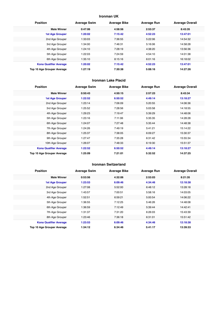## **Ironman UK**

| <b>Position</b>               | <b>Average Swim</b> | <b>Average Bike</b> | <b>Average Run</b> | <b>Average Overall</b> |
|-------------------------------|---------------------|---------------------|--------------------|------------------------|
| <b>Male Winner</b>            | 0:47:06             | 4:58:56             | 2:53:37            | 8:43:35                |
| <b>1st Age Grouper</b>        | 1:20:02             | 7:15:42             | 4:52:23            | 13:47:01               |
| 2nd Age Grouper               | 1:33:03             | 7:36:55             | 5:22:06            | 14:54:32               |
| 3rd Age Grouper               | 1:34:00             | 7:46:31             | 5:16:06            | 14:58:28               |
| 4th Age Grouper               | 1:24:10             | 7:28:19             | 4:38:20            | 13:56:36               |
| 5th Age Grouper               | 1:22:03             | 7:24:59             | 4:54:10            | 14:01:38               |
| 6th Age Grouper               | 1:35:10             | 8:15:16             | 6:01:16            | 16:18:02               |
| <b>Kona Qualifier Average</b> | 1:20:02             | 7:15:42             | 4:52:23            | 13:47:01               |
| Top 10 Age Grouper Average    | 1:27:19             | 7:30:38             | 5:08:16            | 14:27:26               |

## **Ironman Lake Placid**

| <b>Position</b>               | <b>Average Swim</b> | <b>Average Bike</b> | <b>Average Run</b> | <b>Average Overall</b> |
|-------------------------------|---------------------|---------------------|--------------------|------------------------|
| <b>Male Winner</b>            | 0:50:43             | 4:50:15             | 2:57:23            | 8:43:34                |
| <b>1st Age Grouper</b>        | 1:22:52             | 6:50:52             | 4:49:14            | 13:18:27               |
| 2nd Age Grouper               | 1:23:14             | 7:06:09             | 5:20:55            | 14:06:36               |
| 3rd Age Grouper               | 1:25:52             | 7:28:56             | 5:03:58            | 14:18:55               |
| 4th Age Grouper               | 1:29:23             | 7:19:47             | 5:39:29            | 14:48:06               |
| 5th Age Grouper               | 1:23:16             | 7:11:06             | 5:35:35            | 14:28:28               |
| 6th Age Grouper               | 1:24:07             | 7:27:48             | 5:35:44            | 14:48:38               |
| 7th Age Grouper               | 1:24:26             | 7:49:19             | 5:41:21            | 15:14:22               |
| 8th Age Grouper               | 1:25:37             | 7:38:05             | 6:09:27            | 15:30:37               |
| 9th Age Grouper               | 1:27:47             | 7:35:28             | 6:31:42            | 15:55:34               |
| 10th Age Grouper              | 1:26:07             | 7:48:33             | 6:19:30            | 15:51:37               |
| <b>Kona Qualifier Average</b> | 1:22:52             | 6:50:52             | 4:49:14            | 13:18:27               |
| Top 10 Age Grouper Average    | 1:25:09             | 7:21:01             | 5:32:52            | 14:37:25               |

## **Ironman Switzerland**

| <b>Position</b>               | <b>Average Swim</b> | <b>Average Bike</b> | <b>Average Run</b> | <b>Average Overall</b> |
|-------------------------------|---------------------|---------------------|--------------------|------------------------|
| <b>Male Winner</b>            | 0:53:56             | 4:32:06             | 2:53:03            | 8:21:35                |
| <b>1st Age Grouper</b>        | 1:23:53             | 6:09:46             | 4:34:46            | 12:18:38               |
| 2nd Age Grouper               | 1:27:08             | 5:52:00             | 6:48:12            | 13:28:18               |
| 3rd Age Grouper               | 1:43:57             | 7:00:51             | 5:58:16            | 14:03:05               |
| 4th Age Grouper               | 1:52:51             | 6:59:21             | 5:00:54            | 14:06:22               |
| 5th Age Grouper               | 1:36:55             | 7:12:25             | 5:46:26            | 14:48:08               |
| 6th Age Grouper               | 1:36:59             | 7:12:49             | 5:39:44            | 14:42:41               |
| 7th Age Grouper               | 1:31:37             | 7:31:20             | 6:26:03            | 15:43:39               |
| 8th Age Grouper               | 1:23:46             | 7:36:18             | 6:31:01            | 15:51:42               |
| <b>Kona Qualifier Average</b> | 1:23:53             | 6:09:46             | 4:34:46            | 12:18:38               |
| Top 10 Age Grouper Average    | 1:34:12             | 6:34:46             | 5:41:17            | 13:39:33               |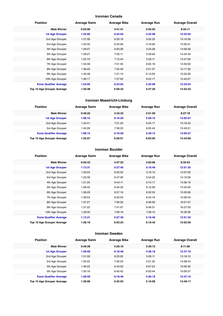#### **Ironman Canada**

| <b>Position</b>               | <b>Average Swim</b> | <b>Average Bike</b> | <b>Average Run</b> | <b>Average Overall</b> |
|-------------------------------|---------------------|---------------------|--------------------|------------------------|
| <b>Male Winner</b>            | 0:52:06             | 4:41:41             | 2:55:55            | 8:33:11                |
| <b>1st Age Grouper</b>        | 1:24:05             | 6:23:02             | 4:32:08            | 12:32:04               |
| 2nd Age Grouper               | 1:27:28             | 6:29:18             | 5:05:33            | 13:16:36               |
| 3rd Age Grouper               | 1:23:35             | 6:34:56             | 5:16:26            | 13:30:51               |
| 4th Age Grouper               | 1:29:07             | 6:50:38             | 5:24:28            | 13:58:36               |
| 5th Age Grouper               | 1:29:27             | 7:05:11             | 5:39:59            | 14:34:43               |
| 6th Age Grouper               | 1:24:19             | 7:12:44             | 5:53:11            | 14:47:00               |
| 7th Age Grouper               | 1:34:39             | 7:01:35             | 6:05:18            | 14:59:50               |
| 8th Age Grouper               | 1:38:20             | 7:25:40             | 5:51:37            | 15:17:30               |
| 9th Age Grouper               | 1:40:48             | 7:21:15             | 6:13:50            | 15:33:26               |
| 10th Age Grouper              | 1:36:17             | 7:27:50             | 6:22:17            | 15:43:57               |
| <b>Kona Qualifier Average</b> | 1:24:05             | 6:23:02             | 4:32:08            | 12:32:04               |
| Top 10 Age Grouper Average    | 1:30:38             | 6:58:32             | 5:37:26            | 14:23:32               |

## **Ironman Maastricht-Limburg**

| <b>Position</b>               | <b>Average Swim</b> | <b>Average Bike</b> | <b>Average Run</b> | <b>Average Overall</b> |
|-------------------------------|---------------------|---------------------|--------------------|------------------------|
| <b>Male Winner</b>            | 0:46:22             | 4:43:33             | 2:51:59            | 8:27:18                |
| <b>1st Age Grouper</b>        | 1:08:15             | 6:16:20             | 5:29:15            | 13:05:57               |
| 2nd Age Grouper               | 1:24:41             | 7:01:20             | 6:34:17            | 15:19:43               |
| 3rd Age Grouper               | 1:42:26             | 7:39:23             | 6:05:43            | 15:43:21               |
| <b>Kona Qualifier Average</b> | 1:08:15             | 6:16:20             | 5:29:15            | 13:05:57               |
| Top 10 Age Grouper Average    | 1:25:07             | 6:59:01             | 6:03:05            | 14:43:00               |

#### **Ironman Boulder**

| <b>Position</b>               | <b>Average Swim</b> | <b>Average Bike</b> | <b>Average Run</b> | <b>Average Overall</b> |
|-------------------------------|---------------------|---------------------|--------------------|------------------------|
| <b>Male Winner</b>            | 0:55:43             | 4:27:22             | 3:03:06            | 8:32:53                |
| <b>1st Age Grouper</b>        | 1:12:31             | 5:57:40             | 5:16:49            | 12:51:35               |
| 2nd Age Grouper               | 1:33:04             | 6:25:02             | 5:16:10            | 13:37:00               |
| 3rd Age Grouper               | 1:22:39             | 6:47:26             | 5:54:20            | 14:19:26               |
| 4th Age Grouper               | 1:21:25             | 6:44:11             | 6:12:17            | 14:36:19               |
| 5th Age Grouper               | 1:28:45             | 6:34:32             | 6:10:26            | 14:45:59               |
| 6th Age Grouper               | 1:36:29             | 6:57:18             | 6:32:53            | 15:29:08               |
| 7th Age Grouper               | 1:39:53             | 6:53:55             | 6:43:16            | 15:39:43               |
| 8th Age Grouper               | 1:27:27             | 7:36:20             | 6:36:09            | 16:01:57               |
| 9th Age Grouper               | 1:31:22             | 7:41:07             | 6:46:31            | 16:27:53               |
| 10th Age Grouper              | 1:29:30             | 7:06:18             | 7:38:15            | 16:39:26               |
| <b>Kona Qualifier Average</b> | 1:12:31             | 5:57:40             | 5:16:49            | 12:51:35               |
| Top 10 Age Grouper Average    | 1:28:18             | 6:52:23             | 6:18:42            | 15:02:50               |

## **Ironman Sweden**

| <b>Position</b>               | <b>Average Swim</b> | <b>Average Bike</b> | <b>Average Run</b> | <b>Average Overall</b> |
|-------------------------------|---------------------|---------------------|--------------------|------------------------|
| <b>Male Winner</b>            | 0:49:39             | 4:29:16             | 2:49:12            | 8:11:09                |
| <b>1st Age Grouper</b>        | 1:28:59             | 6:18:46             | 4:36:18            | 12:37:16               |
| 2nd Age Grouper               | 1:31:09             | 6:25:02             | 5:09:11            | 13:18:12               |
| 3rd Age Grouper               | 1:52:22             | 7:00:23             | 5:21:22            | 14:28:44               |
| 4th Age Grouper               | 1:46:22             | 6:43:03             | 6:07:24            | 15:00:30               |
| 5th Age Grouper               | 1:50:16             | 6:40:42             | 6:03:44            | 15:09:37               |
| <b>Kona Qualifier Average</b> | 1:28:59             | 6:18:46             | 4:36:18            | 12:37:16               |
| Top 10 Age Grouper Average    | 1:39:08             | 6:35:05             | 5:18:08            | 13:49:17               |